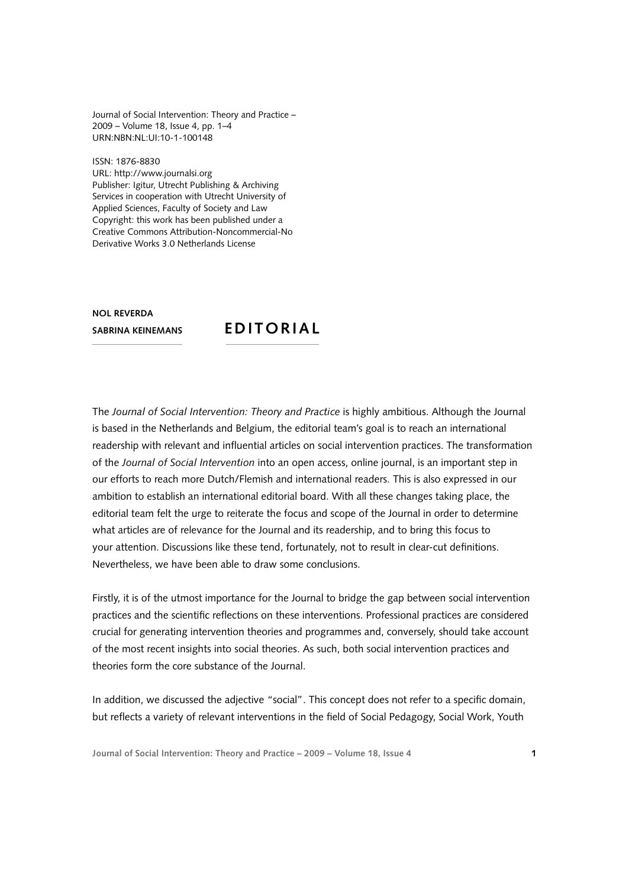Journal of Social Intervention: Theory and Practice – 2009 – Volume 18, Issue 4, pp. 1–4 URN:NBN:NL:UI:10-1-100148

ISSN: 1876-8830 URL: [http://www.journalsi.org](http://www.journalsi.org ) Publisher: Igitur, Utrecht Publishing & Archiving Services in cooperation with Utrecht University of Applied Sciences, Faculty of Society and Law Copyright: this work has been published under a Creative Commons Attribution-Noncommercial-No Derivative Works 3.0 Netherlands License

**Nol Reverda**

## **Sabrina Keinemans Ed i t o ri a l**

The *Journal of Social Intervention: Theory and Practice* is highly ambitious. Although the Journal is based in the Netherlands and Belgium, the editorial team's goal is to reach an international readership with relevant and influential articles on social intervention practices. The transformation of the *Journal of Social Intervention* into an open access, online journal, is an important step in our efforts to reach more Dutch/Flemish and international readers. This is also expressed in our ambition to establish an international editorial board. With all these changes taking place, the editorial team felt the urge to reiterate the focus and scope of the Journal in order to determine what articles are of relevance for the Journal and its readership, and to bring this focus to your attention. Discussions like these tend, fortunately, not to result in clear-cut definitions. Nevertheless, we have been able to draw some conclusions.

Firstly, it is of the utmost importance for the Journal to bridge the gap between social intervention practices and the scientific reflections on these interventions. Professional practices are considered crucial for generating intervention theories and programmes and, conversely, should take account of the most recent insights into social theories. As such, both social intervention practices and theories form the core substance of the Journal.

In addition, we discussed the adjective "social". This concept does not refer to a specific domain, but reflects a variety of relevant interventions in the field of Social Pedagogy, Social Work, Youth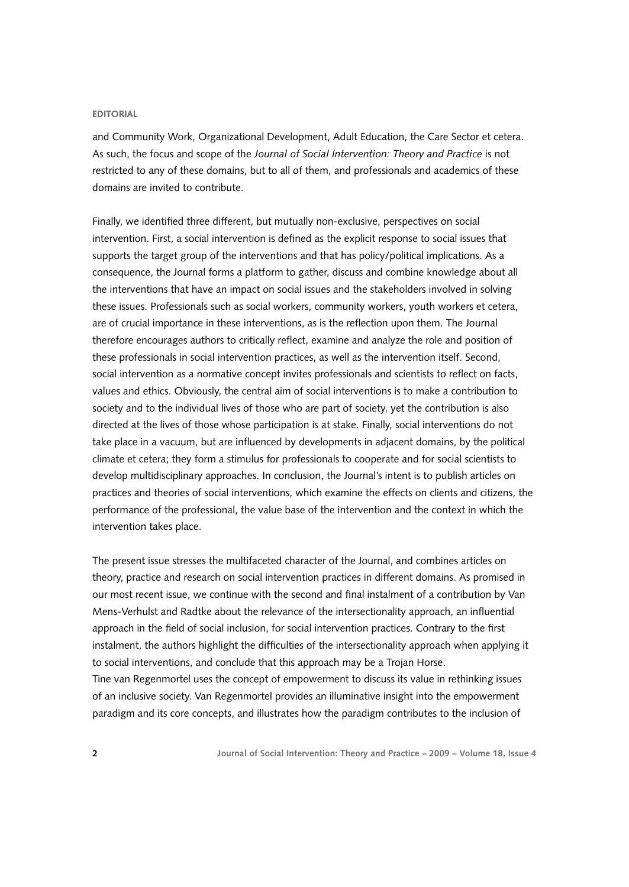## **Editorial**

and Community Work, Organizational Development, Adult Education, the Care Sector et cetera. As such, the focus and scope of the *Journal of Social Intervention: Theory and Practice* is not restricted to any of these domains, but to all of them, and professionals and academics of these domains are invited to contribute.

Finally, we identified three different, but mutually non-exclusive, perspectives on social intervention. First, a social intervention is defined as the explicit response to social issues that supports the target group of the interventions and that has policy/political implications. As a consequence, the Journal forms a platform to gather, discuss and combine knowledge about all the interventions that have an impact on social issues and the stakeholders involved in solving these issues. Professionals such as social workers, community workers, youth workers et cetera, are of crucial importance in these interventions, as is the reflection upon them. The Journal therefore encourages authors to critically reflect, examine and analyze the role and position of these professionals in social intervention practices, as well as the intervention itself. Second, social intervention as a normative concept invites professionals and scientists to reflect on facts, values and ethics. Obviously, the central aim of social interventions is to make a contribution to society and to the individual lives of those who are part of society, yet the contribution is also directed at the lives of those whose participation is at stake. Finally, social interventions do not take place in a vacuum, but are influenced by developments in adjacent domains, by the political climate et cetera; they form a stimulus for professionals to cooperate and for social scientists to develop multidisciplinary approaches. In conclusion, the Journal's intent is to publish articles on practices and theories of social interventions, which examine the effects on clients and citizens, the performance of the professional, the value base of the intervention and the context in which the intervention takes place.

The present issue stresses the multifaceted character of the Journal, and combines articles on theory, practice and research on social intervention practices in different domains. As promised in our most recent issue, we continue with the second and final instalment of a contribution by Van Mens-Verhulst and Radtke about the relevance of the intersectionality approach, an influential approach in the field of social inclusion, for social intervention practices. Contrary to the first instalment, the authors highlight the difficulties of the intersectionality approach when applying it to social interventions, and conclude that this approach may be a Trojan Horse. Tine van Regenmortel uses the concept of empowerment to discuss its value in rethinking issues of an inclusive society. Van Regenmortel provides an illuminative insight into the empowerment paradigm and its core concepts, and illustrates how the paradigm contributes to the inclusion of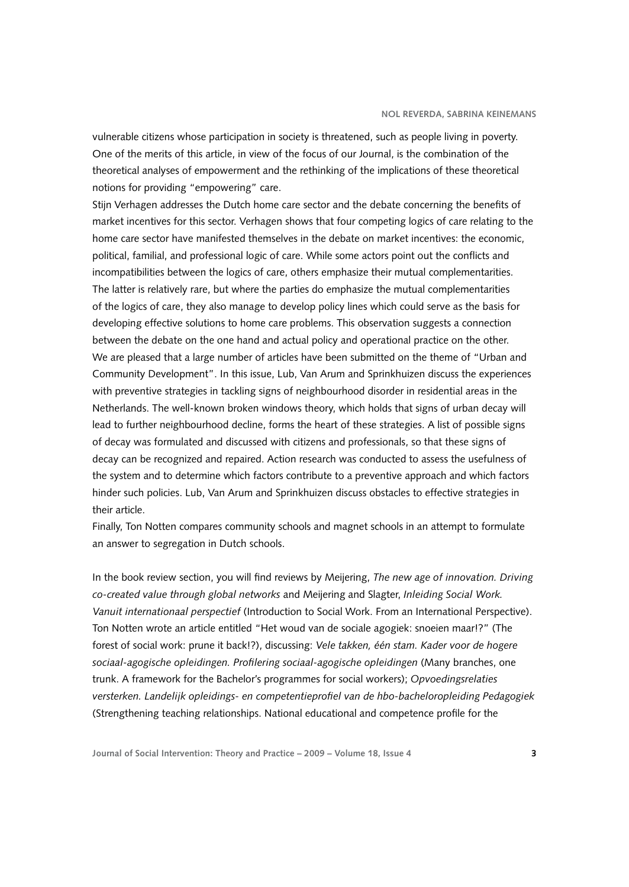vulnerable citizens whose participation in society is threatened, such as people living in poverty. One of the merits of this article, in view of the focus of our Journal, is the combination of the theoretical analyses of empowerment and the rethinking of the implications of these theoretical notions for providing "empowering" care.

Stijn Verhagen addresses the Dutch home care sector and the debate concerning the benefits of market incentives for this sector. Verhagen shows that four competing logics of care relating to the home care sector have manifested themselves in the debate on market incentives: the economic, political, familial, and professional logic of care. While some actors point out the conflicts and incompatibilities between the logics of care, others emphasize their mutual complementarities. The latter is relatively rare, but where the parties do emphasize the mutual complementarities of the logics of care, they also manage to develop policy lines which could serve as the basis for developing effective solutions to home care problems. This observation suggests a connection between the debate on the one hand and actual policy and operational practice on the other. We are pleased that a large number of articles have been submitted on the theme of "Urban and Community Development". In this issue, Lub, Van Arum and Sprinkhuizen discuss the experiences with preventive strategies in tackling signs of neighbourhood disorder in residential areas in the Netherlands. The well-known broken windows theory, which holds that signs of urban decay will lead to further neighbourhood decline, forms the heart of these strategies. A list of possible signs of decay was formulated and discussed with citizens and professionals, so that these signs of decay can be recognized and repaired. Action research was conducted to assess the usefulness of the system and to determine which factors contribute to a preventive approach and which factors hinder such policies. Lub, Van Arum and Sprinkhuizen discuss obstacles to effective strategies in their article.

Finally, Ton Notten compares community schools and magnet schools in an attempt to formulate an answer to segregation in Dutch schools.

In the book review section, you will find reviews by Meijering, *The new age of innovation. Driving co-created value through global networks* and Meijering and Slagter, *Inleiding Social Work. Vanuit internationaal perspectief* (Introduction to Social Work. From an International Perspective). Ton Notten wrote an article entitled "Het woud van de sociale agogiek: snoeien maar!?" (The forest of social work: prune it back!?), discussing: *Vele takken, één stam. Kader voor de hogere sociaal-agogische opleidingen. Profilering sociaal-agogische opleidingen* (Many branches, one trunk. A framework for the Bachelor's programmes for social workers); *Opvoedingsrelaties versterken. Landelijk opleidings- en competentieprofiel van de hbo-bacheloropleiding Pedagogiek* (Strengthening teaching relationships. National educational and competence profile for the